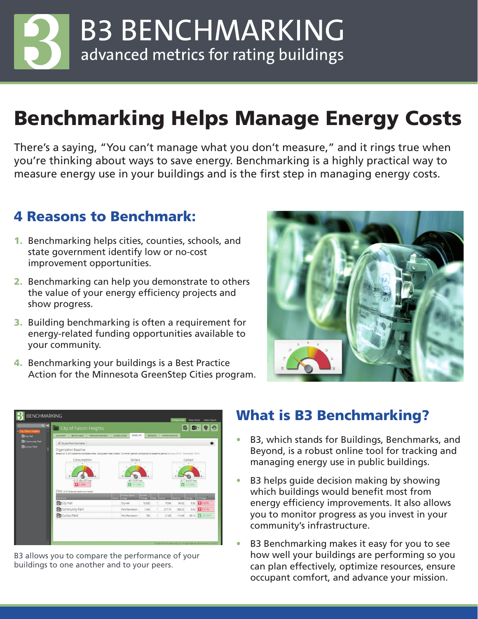**B3 BENCHMARKING** advanced metrics for rating buildings

# Benchmarking Helps Manage Energy Costs

There's a saying, "You can't manage what you don't measure," and it rings true when you're thinking about ways to save energy. Benchmarking is a highly practical way to measure energy use in your buildings and is the first step in managing energy costs.

### 4 Reasons to Benchmark:

- 1. Benchmarking helps cities, counties, schools, and state government identify low or no-cost improvement opportunities.
- 2. Benchmarking can help you demonstrate to others the value of your energy efficiency projects and show progress.
- 3. Building benchmarking is often a requirement for energy-related funding opportunities available to your community.
- 4. Benchmarking your buildings is a Best Practice Action for the Minnesota GreenStep Cities program.





B3 allows you to compare the performance of your buildings to one another and to your peers.

#### What is B3 Benchmarking?

- B3, which stands for Buildings, Benchmarks, and Beyond, is a robust online tool for tracking and managing energy use in public buildings.
- B3 helps quide decision making by showing which buildings would benefit most from energy efficiency improvements. It also allows you to monitor progress as you invest in your community's infrastructure.
- B3 Benchmarking makes it easy for you to see how well your buildings are performing so you can plan effectively, optimize resources, ensure occupant comfort, and advance your mission.